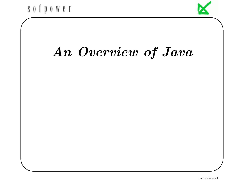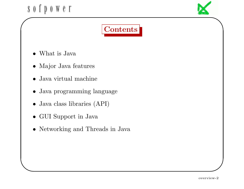

# Contents

- What is Java
- Major Java features
- Java virtual machine
- Java programming language
- Java class libraries (API)
- GUI Support in Java

✫

• Networking and Threads in Java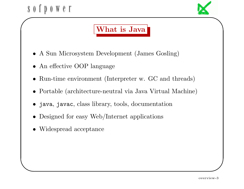#### $S$  0  $\dot{\Gamma}$   $\dot{\Gamma}$  $0 \le \theta \le 1$ ✬



# What is Java

- A Sun Microsystem Development (James Gosling)
- An effective OOP language
- Run-time environment (Interpreter w. GC and threads)
- Portable (architecture-neutral via Java Virtual Machine)
- java, javac, class library, tools, documentation
- Designed for easy Web/Internet applications
- Widespread acceptance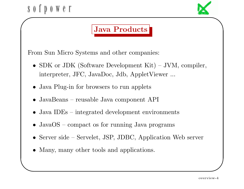

# Java Products

From Sun Micro Systems and other companies:

- SDK or JDK (Software Development Kit) JVM, compiler, interpreter, JFC, JavaDoc, Jdb, AppletViewer ...
- Java Plug-in for browsers to run applets
- JavaBeans reusable Java component API
- Java IDEs integrated development environments
- JavaOS compact os for running Java programs
- Server side Servelet, JSP, JDBC, Application Web server
- Many, many other tools and applications.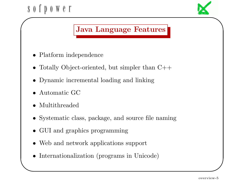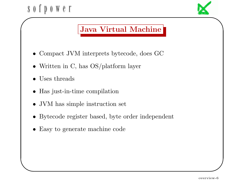

- Compact JVM interprets bytecode, does GC
- Written in C, has OS/platform layer
- Uses threads

- Has just-in-time compilation
- JVM has simple instruction set
- Bytecode register based, byte order independent
- Easy to generate machine code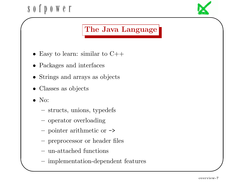

## The Java Language

- Easy to learn: similar to  $C++$
- Packages and interfaces
- Strings and arrays as objects
- Classes as objects
- No:

- structs, unions, typedefs
- operator overloading
- pointer arithmetic or ->
- preprocessor or header files
- un-attached functions
- implementation-dependent features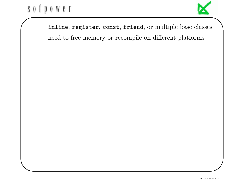

- inline, register, const, friend, or multiple base classes
- need to free memory or recompile on different platforms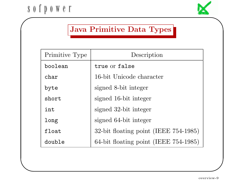

## Java Primitive Data Types

| Primitive Type | Description                           |
|----------------|---------------------------------------|
| boolean        | true or false                         |
| char           | 16-bit Unicode character              |
| byte           | signed 8-bit integer                  |
| short          | signed 16-bit integer                 |
| int            | signed 32-bit integer                 |
| long           | signed 64-bit integer                 |
| float          | 32-bit floating point (IEEE 754-1985) |
| double         | 64-bit floating point (IEEE 754-1985) |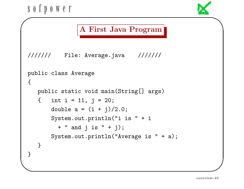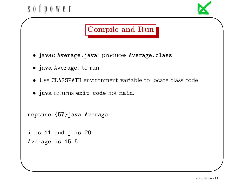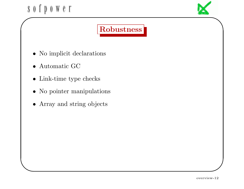

# Robustness

- $\bullet\,$  No implicit declarations
- Automatic GC

- Link-time type checks
- No pointer manipulations
- Array and string objects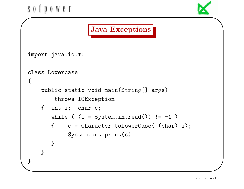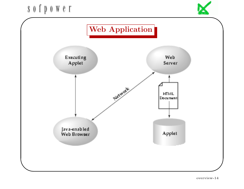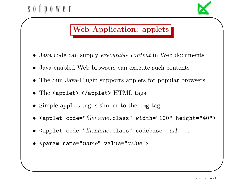

•  $\epsilon$  <param name=" $name"$  value="value">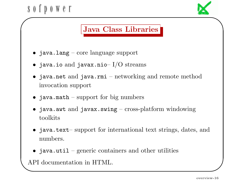

- java.awt and javax.swing cross-platform windowing toolkits
- java.text– support for international text strings, dates, and numbers.
- java.util generic containers and other utilities

API documentation in HTML.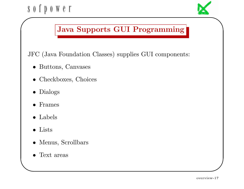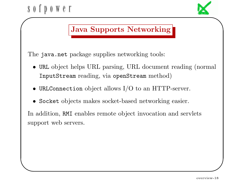#### $S_0$  f p  $0 \le \theta \le 1$ ✬

✫



## Java Supports Networking

The java.net package supplies networking tools:

- URL object helps URL parsing, URL document reading (normal InputStream reading, via openStream method)
- URLConnection object allows I/O to an HTTP-server.
- Socket objects makes socket-based networking easier.

In addition, RMI enables remote object invocation and servlets support web servers.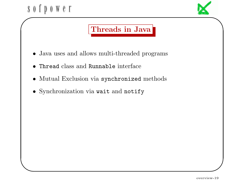✫



## Threads in Java

- Java uses and allows multi-threaded programs
- Thread class and Runnable interface
- Mutual Exclusion via synchronized methods
- Synchronization via wait and notify